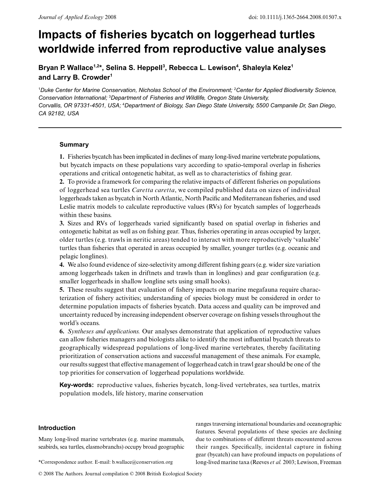# **Impacts of fisheries bycatch on loggerhead turtles worldwide inferred from reproductive value analyses**

Bryan P. Wallace<sup>1,2</sup>\*, Selina S. Heppell<sup>3</sup>, Rebecca L. Lewison<sup>4</sup>, Shaleyla Kelez<sup>1</sup> **and Larry B. Crowder1**

1 *Duke Center for Marine Conservation, Nicholas School of the Environment;* <sup>2</sup> *Center for Applied Biodiversity Science, Conservation International;* <sup>3</sup> *Department of Fisheries and Wildlife, Oregon State University, Corvallis, OR 97331-4501, USA;* <sup>4</sup> *Department of Biology, San Diego State University, 5500 Campanile Dr, San Diego, CA 92182, USA*

# **Summary**

**1.** Fisheries bycatch has been implicated in declines of many long-lived marine vertebrate populations, but bycatch impacts on these populations vary according to spatio-temporal overlap in fisheries operations and critical ontogenetic habitat, as well as to characteristics of fishing gear.

**2.** To provide a framework for comparing the relative impacts of different fisheries on populations of loggerhead sea turtles *Caretta caretta*, we compiled published data on sizes of individual loggerheads taken as bycatch in North Atlantic, North Pacific and Mediterranean fisheries, and used Leslie matrix models to calculate reproductive values (RVs) for bycatch samples of loggerheads within these basins.

**3.** Sizes and RVs of loggerheads varied significantly based on spatial overlap in fisheries and ontogenetic habitat as well as on fishing gear. Thus, fisheries operating in areas occupied by larger, older turtles (e.g. trawls in neritic areas) tended to interact with more reproductively 'valuable' turtles than fisheries that operated in areas occupied by smaller, younger turtles (e.g. oceanic and pelagic longlines).

**4.** We also found evidence of size-selectivity among different fishing gears (e.g. wider size variation among loggerheads taken in driftnets and trawls than in longlines) and gear configuration (e.g. smaller loggerheads in shallow longline sets using small hooks).

**5.** These results suggest that evaluation of fishery impacts on marine megafauna require characterization of fishery activities; understanding of species biology must be considered in order to determine population impacts of fisheries bycatch. Data access and quality can be improved and uncertainty reduced by increasing independent observer coverage on fishing vessels throughout the world's oceans.

**6.** *Syntheses and applications.* Our analyses demonstrate that application of reproductive values can allow fisheries managers and biologists alike to identify the most influential bycatch threats to geographically widespread populations of long-lived marine vertebrates, thereby facilitating prioritization of conservation actions and successful management of these animals. For example, our results suggest that effective management of loggerhead catch in trawl gear should be one of the top priorities for conservation of loggerhead populations worldwide.

**Key-words:** reproductive values, fisheries bycatch, long-lived vertebrates, sea turtles, matrix population models, life history, marine conservation

## **Introduction**

Many long-lived marine vertebrates (e.g. marine mammals, seabirds, sea turtles, elasmobranchs) occupy broad geographic

ranges traversing international boundaries and oceanographic features. Several populations of these species are declining due to combinations of different threats encountered across their ranges. Specifically, incidental capture in fishing gear (bycatch) can have profound impacts on populations of \*Correspondence author. E-mail: b.wallace@conservation.org long-lived marine taxa (Reeves *et al.* 2003; Lewison, Freeman

© 2008 The Authors. Journal compilation © 2008 British Ecological Society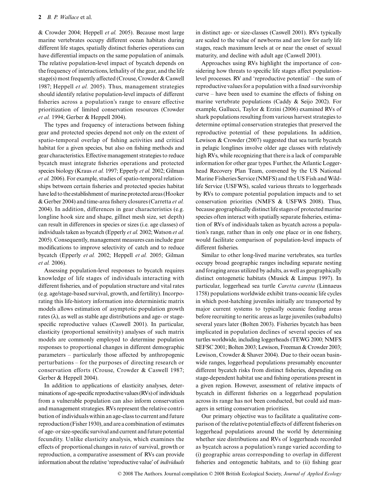& Crowder 2004; Heppell *et al.* 2005). Because most large marine vertebrates occupy different ocean habitats during different life stages, spatially distinct fisheries operations can have differential impacts on the same population of animals. The relative population-level impact of bycatch depends on the frequency of interactions, lethality of the gear, and the life stage(s) most frequently affected (Crouse, Crowder & Caswell 1987; Heppell *et al.* 2005). Thus, management strategies should identify relative population-level impacts of different fisheries across a population's range to ensure effective prioritization of limited conservation resources (Crowder *et al.* 1994; Gerber & Heppell 2004).

The types and frequency of interactions between fishing gear and protected species depend not only on the extent of spatio-temporal overlap of fishing activities and critical habitat for a given species, but also on fishing methods and gear characteristics. Effective management strategies to reduce bycatch must integrate fisheries operations and protected species biology (Kraus *et al.* 1997; Epperly *et al.* 2002; Gilman *et al.* 2006). For example, studies of spatio-temporal relationships between certain fisheries and protected species habitat have led to the establishment of marine protected areas (Hooker & Gerber 2004) and time-area fishery closures (Carretta *et al.* 2004). In addition, differences in gear characteristics (e.g. longline hook size and shape, gillnet mesh size, set depth) can result in differences in species or sizes (i.e. age classes) of individuals taken as bycatch (Epperly *et al.* 2002; Watson *et al.* 2005). Consequently, management measures can include gear modifications to improve selectivity of catch and to reduce bycatch (Epperly *et al.* 2002; Heppell *et al.* 2005; Gilman *et al.* 2006).

Assessing population-level responses to bycatch requires knowledge of life stages of individuals interacting with different fisheries, and of population structure and vital rates (e.g. age/stage-based survival, growth, and fertility). Incorporating this life-history information into deterministic matrix models allows estimation of asymptotic population growth rates  $(\lambda)$ , as well as stable age distributions and age- or stagespecific reproductive values (Caswell 2001). In particular, elasticity (proportional sensitivity) analyses of such matrix models are commonly employed to determine population responses to proportional changes in different demographic parameters – particularly those affected by anthropogenic perturbations – for the purposes of directing research or conservation efforts (Crouse, Crowder & Caswell 1987; Gerber & Heppell 2004).

In addition to applications of elasticity analyses, determinations of age-specific reproductive values (RVs) of individuals from a vulnerable population can also inform conservation and management strategies. RVs represent the relative contribution of individuals within an age-class to current and future reproduction (Fisher 1930), and are a combination of estimates of age- or size-specific survival and current and future potential fecundity. Unlike elasticity analysis, which examines the effects of proportional changes in *rates* of survival, growth or reproduction, a comparative assessment of RVs can provide information about the relative 'reproductive value' of *individuals* in distinct age- or size-classes (Caswell 2001). RVs typically are scaled to the value of newborns and are low for early life stages, reach maximum levels at or near the onset of sexual maturity, and decline with adult age (Caswell 2001).

Approaches using RVs highlight the importance of considering how threats to specific life stages affect populationlevel processes. RV and 'reproductive potential' – the sum of reproductive values for a population with a fixed survivorship curve – have been used to examine the effects of fishing on marine vertebrate populations (Caddy & Seijo 2002). For example, Gallucci, Taylor & Erzini (2006) examined RVs of shark populations resulting from various harvest strategies to determine optimal conservation strategies that preserved the reproductive potential of these populations. In addition, Lewison & Crowder (2007) suggested that sea turtle bycatch in pelagic longlines involve older age classes with relatively high RVs, while recognizing that there is a lack of comparable information for other gear types. Further, the Atlantic Loggerhead Recovery Plan Team, convened by the US National Marine Fisheries Service (NMFS) and the US Fish and Wildlife Service (USFWS), scaled various threats to loggerheads by RVs to compare potential population impacts and to set conservation priorities (NMFS & USFWS 2008). Thus, because geographically distinct life stages of protected marine species often interact with spatially separate fisheries, estimation of RVs of individuals taken as bycatch across a population's range, rather than in only one place or in one fishery, would facilitate comparison of population-level impacts of different fisheries.

Similar to other long-lived marine vertebrates, sea turtles occupy broad geographic ranges including separate nesting and foraging areas utilized by adults, as well as geographically distinct ontogenetic habitats (Musick & Limpus 1997). In particular, loggerhead sea turtle *Caretta caretta* (Linnaeus 1758) populations worldwide exhibit trans-oceanic life cycles in which post-hatching juveniles initially are transported by major current systems to typically oceanic feeding areas before recruiting to neritic areas as large juveniles (subadults) several years later (Bolten 2003). Fisheries bycatch has been implicated in population declines of several species of sea turtles worldwide, including loggerheads (TEWG 2000; NMFS SEFSC 2001; Bolten 2003; Lewison, Freeman & Crowder 2003; Lewison, Crowder & Shaver 2004). Due to their ocean basinwide ranges, loggerhead populations presumably encounter different bycatch risks from distinct fisheries, depending on stage-dependent habitat use and fishing operations present in a given region. However, assessment of relative impacts of bycatch in different fisheries on a loggerhead population across its range has not been conducted, but could aid managers in setting conservation priorities.

Our primary objective was to facilitate a qualitative comparison of the relative potential effects of different fisheries on loggerhead populations around the world by determining whether size distributions and RVs of loggerheads recorded as bycatch across a population's range varied according to (i) geographic areas corresponding to overlap in different fisheries and ontogenetic habitats, and to (ii) fishing gear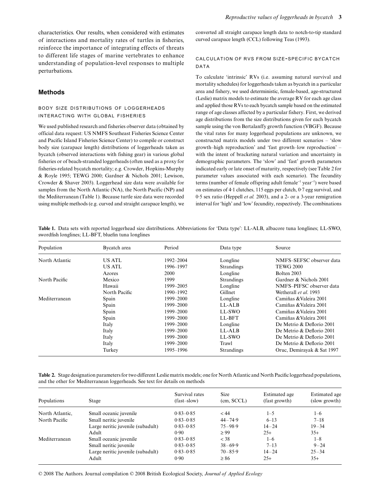characteristics. Our results, when considered with estimates of interactions and mortality rates of turtles in fisheries, reinforce the importance of integrating effects of threats to different life stages of marine vertebrates to enhance understanding of population-level responses to multiple perturbations.

## **Methods**

## BODY SIZE DISTRIBUTIONS OF LOGGERHEADS INTERACTING WITH GLOBAL FISHERIES

We used published research and fisheries observer data (obtained by official data request: US NMFS Southeast Fisheries Science Center and Pacific Island Fisheries Science Center) to compile or construct body size (carapace length) distributions of loggerheads taken as bycatch (observed interactions with fishing gear) in various global fisheries or of beach-stranded loggerheads (often used as a proxy for fisheries-related bycatch mortality; e.g. Crowder, Hopkins-Murphy & Royle 1995; TEWG 2000; Gardner & Nichols 2001; Lewison, Crowder & Shaver 2003). Loggerhead size data were available for samples from the North Atlantic (NA), the North Pacific (NP) and the Mediterranean (Table 1). Because turtle size data were recorded using multiple methods (e.g. curved and straight carapace length), we

converted all straight carapace length data to notch-to-tip standard curved carapace length (CCL) following Teas (1993).

## CALCULATION OF RVS FROM SIZE-SPECIFIC BYCATCH DATA

To calculate 'intrinsic' RVs (i.e. assuming natural survival and mortality schedules) for loggerheads taken as bycatch in a particular area and fishery, we used deterministic, female-based, age-structured (Leslie) matrix models to estimate the average RV for each age class and applied those RVs to each bycatch sample based on the estimated range of age classes affected by a particular fishery. First, we derived age distributions from the size distributions given for each bycatch sample using the von Bertalanffy growth function (VBGF). Because the vital rates for many loggerhead populations are unknown, we constructed matrix models under two different scenarios – 'slow growth–high reproduction' and 'fast growth–low reproduction' – with the intent of bracketing natural variation and uncertainty in demographic parameters. The 'slow' and 'fast' growth parameters indicated early or late onset of maturity, respectively (see Table 2 for parameter values associated with each scenario). The fecundity terms (number of female offspring adult female<sup>-1</sup> year<sup>-1</sup>) were based on estimates of 4·1 clutches, 115 eggs per clutch, 0·7 egg survival, and 0·5 sex ratio (Heppell *et al.* 2003), and a 2- or a 3-year remigration interval for 'high' and 'low' fecundity, respectively. The combinations

**Table 1.** Data sets with reported loggerhead size distributions. Abbreviations for 'Data type': LL-ALB, albacore tuna longlines; LL-SWO, swordfish longlines; LL-BFT, bluefin tuna longlines

| Population     | Bycatch area  | Period    | Data type         | Source                     |  |
|----------------|---------------|-----------|-------------------|----------------------------|--|
| North Atlantic | US ATL        | 1992-2004 | Longline          | NMFS-SEFSC observer data   |  |
|                | US ATL        | 1996-1997 | <b>Strandings</b> | <b>TEWG 2000</b>           |  |
|                | Azores        | 2000      | Longline          | Bolten 2003                |  |
| North Pacific  | Mexico        | 1999      | Strandings        | Gardner & Nichols 2001     |  |
|                | Hawaii        | 1999-2005 | Longline          | NMFS-PIFSC observer data   |  |
|                | North Pacific | 1990-1992 | Gillnet           | Wetherall et al. 1993      |  |
| Mediterranean  | Spain         | 1999-2000 | Longline          | Camiñas & Valeira 2001     |  |
|                | Spain         | 1999-2000 | LL-ALB            | Camiñas & Valeira 2001     |  |
|                | Spain         | 1999-2000 | LL-SWO            | Camiñas & Valeira 2001     |  |
|                | Spain         | 1999-2000 | LL-BFT            | Camiñas & Valeira 2001     |  |
|                | Italy         | 1999-2000 | Longline          | De Metrio & Deflorio 2001  |  |
|                | Italy         | 1999-2000 | $LL-ALB$          | De Metrio & Deflorio 2001  |  |
|                | Italy         | 1999-2000 | LL-SWO            | De Metrio & Deflorio 2001  |  |
|                | Italy         | 1999–2000 | Trawl             | De Metrio & Deflorio 2001  |  |
|                | Turkey        | 1995–1996 | Strandings        | Oruc, Demirayak & Sat 1997 |  |

**Table 2.** Stage designation parameters for two different Leslie matrix models; one for North Atlantic and North Pacific loggerhead populations, and the other for Mediterranean loggerheads. See text for details on methods

| Populations     | <b>Stage</b>                      | Survival rates<br>(fast-slow) | <b>Size</b><br>(cm, SCCL) | Estimated age<br>(fast growth) | Estimated age<br>(slow growth) |
|-----------------|-----------------------------------|-------------------------------|---------------------------|--------------------------------|--------------------------------|
| North Atlantic, | Small oceanic juvenile            | $0.83 - 0.85$                 | < 44                      | $1 - 5$                        | $1 - 6$                        |
| North Pacific   | Small neritic juvenile            | $0.83 - 0.85$                 | $44 - 74.9$               | $6 - 13$                       | $7 - 18$                       |
|                 | Large neritic juvenile (subadult) | $0.83 - 0.85$                 | $75 - 98.9$               | $14 - 24$                      | $19 - 34$                      |
|                 | Adult                             | 0.90                          | $\geq 99$                 | $25+$                          | $35+$                          |
| Mediterranean   | Small oceanic juvenile            | $0.83 - 0.85$                 | $<$ 38                    | $1 - 6$                        | $1 - 8$                        |
|                 | Small neritic juvenile            | $0.83 - 0.85$                 | $38 - 69.9$               | $7 - 13$                       | $9 - 24$                       |
|                 | Large neritic juvenile (subadult) | $0.83 - 0.85$                 | $70 - 85.9$               | $14 - 24$                      | $25 - 34$                      |
|                 | Adult                             | 0.90                          | $\geq 86$                 | $25+$                          | $35+$                          |

© 2008 The Authors. Journal compilation © 2008 British Ecological Society, *Journal of Applied Ecology*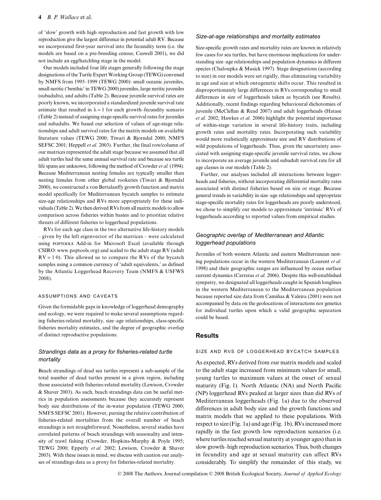of 'slow' growth with high reproduction and fast growth with low reproduction give the largest difference in potential adult RV. Because we incorporated first-year survival into the fecundity term (i.e. the models are based on a pre-breeding census; Caswell 2001), we did not include an egg/hatchling stage in the model.

Our models included four life stages generally following the stage designations of the Turtle Expert Working Group (TEWG) convened by NMFS from 1995–1999 (TEWG 2000): small oceanic juveniles, small neritic ('benthic' in TEWG 2000) juveniles, large neritic juveniles (subadults), and adults (Table 2). Because juvenile survival rates are poorly known, we incorporated a standardized juvenile survival rate estimate that resulted in  $\lambda = 1$  for each growth–fecundity scenario (Table 2) instead of assigning stage-specific survival rates for juveniles and subadults. We based our selection of values of age-stage relationships and adult survival rates for the matrix models on available literature values (TEWG 2000; Tiwari & Bjorndal 2000; NMFS SEFSC 2001; Heppell *et al.* 2003). Further, the final row/column of our matrices represented the adult stage because we assumed that all adult turtles had the same annual survival rate and because sea turtle life spans are unknown, following the method of Crowder *et al.* (1994). Because Mediterranean nesting females are typically smaller than nesting females from other global rookeries (Tiwari & Bjorndal 2000), we constructed a von Bertalanffy growth function and matrix model specifically for Mediterranean bycatch samples to estimate size-age relationships and RVs more appropriately for these individuals (Table 2). We then derived RVs from all matrix models to allow comparison across fisheries within basins and to prioritize relative threats of different fisheries to loggerhead populations.

RVs for each age class in the two alternative life-history models – given by the left eigenvector of the matrices – were calculated using poptools Add-in for Microsoft Excel (available through CSIRO: www.poptools.org) and scaled to the adult stage RV (adult  $RV = 1.0$ . This allowed us to compare the RVs of the bycatch samples using a common currency of 'adult equivalents,' as defined by the Atlantic Loggerhead Recovery Team (NMFS & USFWS 2008).

#### ASSUMPTIONS AND CAVEATS

Given the formidable gaps in knowledge of loggerhead demography and ecology, we were required to make several assumptions regarding fisheries-related mortality, size–age relationships, class-specific fisheries mortality estimates, and the degree of geographic overlap of distinct reproductive populations.

## *Strandings data as a proxy for fisheries-related turtle mortality*

Beach strandings of dead sea turtles represent a sub-sample of the total number of dead turtles present in a given region, including those associated with fisheries-related mortality (Lewison, Crowder & Shaver 2003). As such, beach strandings data can be useful metrics in population assessments because they accurately represent body size distributions of the in-water population (TEWG 2000; NMFS SEFSC 2001). However, parsing the relative contribution of fisheries-related mortalities from the overall number of beach strandings is not straightforward. Nonetheless, several studies have correlated patterns of beach strandings with seasonality and intensity of trawl fishing (Crowder, Hopkins-Murphy & Poyle 1995; TEWG 2000; Epperly *et al.* 2002; Lewison, Crowder & Shaver 2003). With these issues in mind, we discuss with caution our analyses of strandings data as a proxy for fisheries-related mortality.

#### *Size-at-age relationships and mortality estimates*

Size-specific growth rates and mortality rates are known in relatively few cases for sea turtles, but have enormous implications for understanding size–age relationships and population dynamics in different species (Chaloupka & Musick 1997). Stage designations (according to size) in our models were set rigidly, thus eliminating variability in age and size at which ontogenetic shifts occur. This resulted in disproportionately large differences in RVs corresponding to small differences in size of loggerheads taken as bycatch (see Results). Additionally, recent findings regarding behavioural dichotomies of juvenile (McClellan & Read 2007) and adult loggerheads (Hatase *et al.* 2002; Hawkes *et al.* 2006) highlight the potential importance of within-stage variation in several life-history traits, including growth rates and mortality rates. Incorporating such variability would more realistically approximate size and RV distributions of wild populations of loggerheads. Thus, given the uncertainty associated with assigning stage-specific juvenile survival rates, we chose to incorporate an average juvenile and subadult survival rate for all age classes in our models (Table 2).

Further, our analyses included all interactions between loggerheads and fisheries, without incorporating differential mortality rates associated with distinct fisheries based on size or stage. Because general trends in variability in size–age relationships and appropriate stage-specific mortality rates for loggerheads are poorly understood, we chose to simplify our models to approximate 'intrinsic' RVs of loggerheads according to reported values from empirical studies.

## *Geographic overlap of Mediterranean and Atlantic loggerhead populations*

Juveniles of both western Atlantic and eastern Mediterranean nesting populations occur in the western Mediterranean (Laurent *et al.* 1998) and their geographic ranges are influenced by ocean surface current dynamics (Carreras *et al.* 2006). Despite this well-established sympatry, we designated all loggerheads caught in Spanish longlines in the western Mediterranean to the Mediterranean population because reported size data from Camiñas & Valeira (2001) were not accompanied by data on the geolocations of interactions nor genetics for individual turtles upon which a valid geographic separation could be based.

## **Results**

#### SIZE AND RVS OF LOGGERHEAD BYCATCH SAMPLES

As expected, RVs derived from our matrix models and scaled to the adult stage increased from minimum values for small, young turtles to maximum values at the onset of sexual maturity (Fig. 1). North Atlantic (NA) and North Pacific (NP) loggerhead RVs peaked at larger sizes than did RVs of Mediterranean loggerheads (Fig. 1a) due to the observed differences in adult body size and the growth functions and matrix models that we applied to these populations. With respect to size (Fig. 1a) and age (Fig. 1b), RVs increased more rapidly in the fast growth–low reproduction scenarios (i.e. where turtles reached sexual maturity at younger ages) than in slow growth–high reproduction scenarios. Thus, both changes in fecundity and age at sexual maturity can affect RVs considerably. To simplify the remainder of this study, we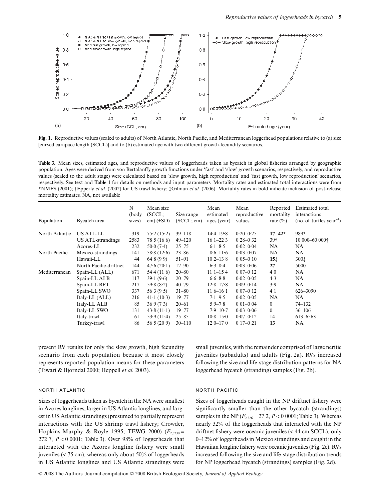

**Fig. 1.** Reproductive values (scaled to adults) of North Atlantic, North Pacific, and Mediterranean loggerhead populations relative to (a) size [curved carapace length (SCCL)] and to (b) estimated age with two different growth-fecundity scenarios.

**Table 3.** Mean sizes, estimated ages, and reproductive values of loggerheads taken as bycatch in global fisheries arranged by geographic population. Ages were derived from von Bertalanffy growth functions under 'fast' and 'slow' growth scenarios, respectively, and reproductive values (scaled to the adult stage) were calculated based on 'slow growth, high reproduction' and 'fast growth, low reproduction' scenarios, respectively. See text and **Table 1** for details on methods and input parameters. Mortality rates and estimated total interactions were from \*NMFS (2001); †Epperly *et al.* (2002) for US trawl fishery; ‡Gilman *et al.* (2006). Mortality rates in bold indicate inclusion of post-release mortality estimates. NA, not available

| Population     | Bycatch area           | N<br>(body)<br>sizes) | Mean size<br>(SCCL;<br>$cm)$ ( $\pm SD$ ) | Size range<br>(SCCL; cm) | Mean<br>estimated<br>ages (year) | Mean<br>reproductive<br>values | Reported<br>mortality<br>rate $(\% )$ | Estimated total<br>interactions<br>(no. of turtles year <sup>-1</sup> ) |
|----------------|------------------------|-----------------------|-------------------------------------------|--------------------------|----------------------------------|--------------------------------|---------------------------------------|-------------------------------------------------------------------------|
| North Atlantic | <b>US ATL-LL</b>       | 319                   | 75.2(15.2)                                | $39 - 118$               | $14.4 - 19.8$                    | $0.20 - 0.25$                  | $17 - 42*$                            | 989*                                                                    |
|                | US ATL-strandings      | 2583                  | 78.5(16.6)                                | $49 - 120$               | $16.1 - 22.3$                    | $0.28 - 0.32$                  | 39†                                   | 10 000-60 000†                                                          |
|                | Azores-LL              | 232                   | 50.0(7.4)                                 | $25 - 75$                | $6.1 - 8.5$                      | $0.02 - 0.04$                  | NA                                    | NA                                                                      |
| North Pacific  | Mexico-strandings      | 141                   | 58.8(12.6)                                | $23 - 86$                | $8.6 - 11.6$                     | $0.03 - 0.07$                  | <b>NA</b>                             | <b>NA</b>                                                               |
|                | Hawaii-LL              | 44                    | 64.8(9.9)                                 | $51 - 91$                | $10.2 - 13.8$                    | $0.05 - 0.10$                  | 15 <sup>†</sup>                       | 3001                                                                    |
|                | North Pacific-driftnet | 144                   | 47.6(20.1)                                | $12 - 90$                | $6.3 - 8.4$                      | $0.03 - 0.06$                  | 27                                    | 5000                                                                    |
| Mediterranean  | Spain-LL (ALL)         | 671                   | 54.4(11.6)                                | $20 - 80$                | $11 \cdot 1 - 15 \cdot 4$        | $0.07 - 0.12$                  | 4.0                                   | NA.                                                                     |
|                | Spain-LL ALB           | 117                   | 39.1(9.6)                                 | $20 - 79$                | $6.6 - 8.8$                      | $0.02 - 0.05$                  | 4.3                                   | NA                                                                      |
|                | Spain-LL BFT           | 217                   | 59.8(8.2)                                 | $40 - 79$                | $12.8 - 17.8$                    | $0.09 - 0.14$                  | 3.9                                   | NA                                                                      |
|                | Spain-LL SWO           | 337                   | 56.3(9.5)                                 | $31 - 80$                | $11.6 - 16.1$                    | $0.07 - 0.12$                  | $4-1$                                 | 626-3090                                                                |
|                | Italy-LL (ALL)         | 216                   | $41 \cdot 1 (10 \cdot 3)$                 | $19 - 77$                | $7.1 - 9.5$                      | $0.02 - 0.05$                  | NA                                    | NA                                                                      |
|                | Italy-LL ALB           | 85                    | 36.9(7.3)                                 | $20 - 61$                | $5.9 - 7.8$                      | $0.01 - 0.04$                  | $\mathbf{0}$                          | $74 - 132$                                                              |
|                | Italy-LL SWO           | 131                   | 43.8(11.1)                                | $19 - 77$                | $7.9 - 10.7$                     | $0.03 - 0.06$                  | $\theta$                              | $36 - 106$                                                              |
|                | Italy-trawl            | 61                    | 53.9(11.4)                                | $25 - 85$                | $10.8 - 15.0$                    | $0.07 - 0.12$                  | 14                                    | 613-6563                                                                |
|                | Turkey-trawl           | 86                    | 56.5(20.9)                                | $30 - 110$               | $12.0 - 17.0$                    | $0.17 - 0.21$                  | 13                                    | <b>NA</b>                                                               |

present RV results for only the slow growth, high fecundity scenario from each population because it most closely represents reported population means for these parameters (Tiwari & Bjorndal 2000; Heppell *et al.* 2003).

## NORTH ATLANTIC

Sizes of loggerheads taken as bycatch in the NA were smallest in Azores longlines, larger in US Atlantic longlines, and largest in US Atlantic strandings (presumed to partially represent interactions with the US shrimp trawl fishery; Crowder, Hopkins-Murphy & Royle 1995; TEWG 2000) ( $F_{2,3230}$  = 272·7, *P* < 0·0001; Table 3). Over 98% of loggerheads that interacted with the Azores longline fishery were small juveniles (< 75 cm), whereas only about 50% of loggerheads in US Atlantic longlines and US Atlantic strandings were

small juveniles, with the remainder comprised of large neritic juveniles (subadults) and adults (Fig. 2a). RVs increased following the size and life-stage distribution patterns for NA loggerhead bycatch (stranding) samples (Fig. 2b).

#### NORTH PACIFIC

Sizes of loggerheads caught in the NP driftnet fishery were significantly smaller than the other bycatch (strandings) samples in the NP  $(F_{2,326} = 27.2, P < 0.0001;$  Table 3). Whereas nearly 32% of the loggerheads that interacted with the NP driftnet fishery were oceanic juveniles (< 44 cm SCCL), only 0–12% of loggerheads in Mexico strandings and caught in the Hawaiian longline fishery were oceanic juveniles (Fig. 2c). RVs increased following the size and life-stage distribution trends for NP loggerhead bycatch (strandings) samples (Fig. 2d).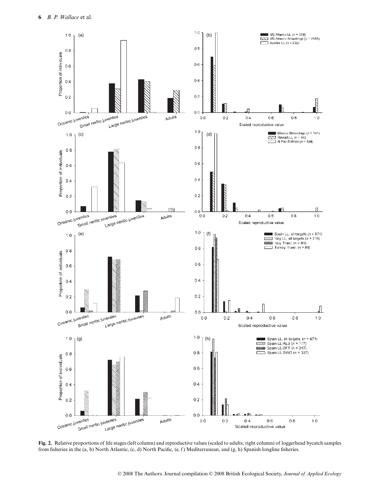

**Fig. 2.** Relative proportions of life stages (left column) and reproductive values (scaled to adults; right column) of loggerhead bycatch samples from fisheries in the (a, b) North Atlantic, (c, d) North Pacific, (e, f ) Mediterranean, and (g, h) Spanish longline fisheries.

© 2008 The Authors. Journal compilation © 2008 British Ecological Society, *Journal of Applied Ecology*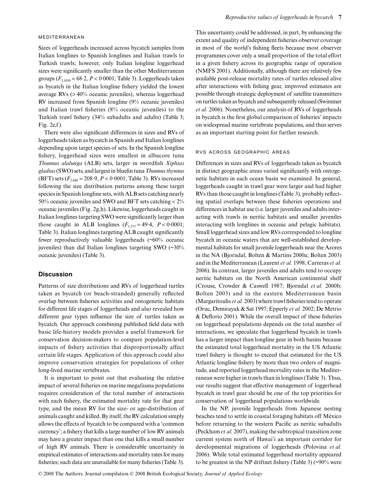## MEDITERRANEAN

Sizes of loggerheads increased across bycatch samples from Italian longlines to Spanish longlines and Italian trawls to Turkish trawls; however, only Italian longline loggerhead sizes were significantly smaller than the other Mediterranean groups  $(F_{3,1030} = 68.2, P < 0.0001$ ; Table 3). Loggerheads taken as bycatch in the Italian longline fishery yielded the lowest average RVs (> 40% oceanic juveniles), whereas loggerhead RV increased from Spanish longline (9% oceanic juveniles) and Italian trawl fisheries (8% oceanic juveniles) to the Turkish trawl fishery (34% subadults and adults) (Table 3; Fig. 2e,f ).

There were also significant differences in sizes and RVs of loggerheads taken as bycatch in Spanish and Italian longlines depending upon target species of sets. In the Spanish longline fishery, loggerhead sizes were smallest in albacore tuna *Thunnus alalunga* (ALB) sets, larger in swordfish *Xiphias gladius* (SWO) sets, and largest in bluefin tuna *Thunnus thynnus* (BFT) sets (*F*2,668 = 208·9, *P* < 0·0001; Table 3). RVs increased following the size distribution patterns among these target species in Spanish longline sets, with ALB sets catching nearly 50% oceanic juveniles and SWO and BFT sets catching < 2% oceanic juveniles (Fig. 2g,h). Likewise, loggerheads caught in Italian longlines targeting SWO were significantly larger than those caught in ALB longlines  $(F_{1,215} = 49.4, P < 0.0001;$ Table 3). Italian longlines targeting ALB caught significantly fewer reproductively valuable loggerheads (~60% oceanic juveniles) than did Italian longlines targeting SWO (~30% oceanic juveniles) (Table 3).

#### **Discussion**

Patterns of size distributions and RVs of loggerhead turtles taken as bycatch (or beach-stranded) generally reflected overlap between fisheries activities and ontogenetic habitats for different life stages of loggerheads and also revealed how different gear types influence the size of turtles taken as bycatch. Our approach combining published field data with basic life-history models provides a useful framework for conservation decision-makers to compare population-level impacts of fishery activities that disproportionally affect certain life stages. Application of this approach could also improve conservation strategies for populations of other long-lived marine vertebrates.

It is important to point out that evaluating the relative impact of several fisheries on marine megafauna populations requires consideration of the total number of interactions with each fishery, the estimated mortality rate for that gear type, and the mean RV for the size- or age-distribution of animals caught and killed. By itself, the RV calculation simply allows the effects of bycatch to be compared with a 'common currency'; a fishery that kills a large number of low RV animals may have a greater impact than one that kills a small number of high RV animals. There is considerable uncertainty in empirical estimates of interactions and mortality rates for many fisheries; such data are unavailable for many fisheries (Table 3).

This uncertainty could be addressed, in part, by enhancing the extent and quality of independent fisheries observer coverage in most of the world's fishing fleets because most observer programmes cover only a small proportion of the total effort in a given fishery across its geographic range of operation (NMFS 2001). Additionally, although there are relatively few available post-release mortality rates of turtles released alive after interactions with fishing gear, improved estimates are possible through strategic deployment of satellite transmitters on turtles taken as bycatch and subsequently released (Swimmer *et al.* 2006). Nonetheless, our analysis of RVs of loggerheads in bycatch is the first global comparison of fisheries' impacts on widespread marine vertebrate populations, and thus serves as an important starting point for further research.

#### RVS ACROSS GEOGRAPHIC AREAS

Differences in sizes and RVs of loggerheads taken as bycatch in distinct geographic areas varied significantly with ontogenetic habitats in each ocean basin we examined. In general, loggerheads caught in trawl gear were larger and had higher RVs than those caught in longlines (Table 3), probably reflecting spatial overlaps between these fisheries operations and differences in habitat use (i.e. larger juveniles and adults interacting with trawls in neritic habitats and smaller juveniles interacting with longlines in oceanic and pelagic habitats). Small loggerhead sizes and low RVs corresponded to longline bycatch in oceanic waters that are well-established developmental habitats for small juvenile loggerheads near the Azores in the NA (Bjorndal, Bolten & Martins 2000a; Bolten 2003) and in the Mediterranean (Laurent *et al.* 1998; Carreras *et al.* 2006). In contrast, larger juveniles and adults tend to occupy neritic habitats on the North American continental shelf (Crouse, Crowder & Caswell 1987; Bjorndal *et al.* 2000b; Bolten 2003) and in the eastern Mediterranean basin (Margaritoulis *et al.* 2003) where trawl fisheries tend to operate (Oruc, Demirayak & Sat 1997; Epperly *et al.* 2002; De Metrio & Deflorio 2001). While the overall impact of these fisheries on loggerhead populations depends on the total number of interactions, we speculate that loggerhead bycatch in trawls has a larger impact than longline gear in both basins because the estimated total loggerhead mortality in the US Atlantic trawl fishery is thought to exceed that estimated for the US Atlantic longline fishery by more than two orders of magnitude, and reported loggerhead mortality rates in the Mediterranean were higher in trawls than in longlines (Table 3). Thus, our results suggest that effective management of loggerhead bycatch in trawl gear should be one of the top priorities for conservation of loggerhead populations worldwide.

In the NP, juvenile loggerheads from Japanese nesting beaches tend to settle in coastal foraging habitats off México before returning to the western Pacific as neritic subadults (Peckham *et al.* 2007), making the subtropical transition zone current system north of Hawai'i an important corridor for developmental migrations of loggerheads (Polovina *et al.* 2006). While total estimated loggerhead mortality appeared to be greatest in the NP driftnet fishery (Table 3) (~90% were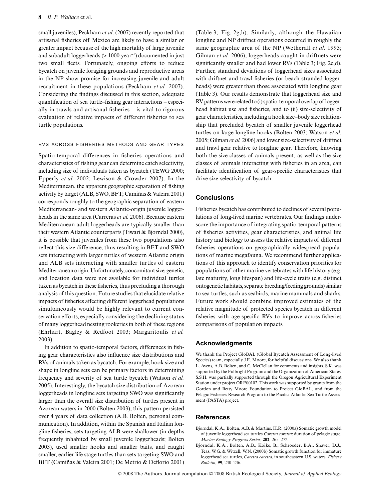small juveniles), Peckham *et al*. (2007) recently reported that artisanal fisheries off México are likely to have a similar or greater impact because of the high mortality of large juvenile and subadult loggerheads (> 1000 year<sup>−</sup><sup>1</sup> ) documented in just two small fleets. Fortunately, ongoing efforts to reduce bycatch on juvenile foraging grounds and reproductive areas in the NP show promise for increasing juvenile and adult recruitment in these populations (Peckham *et al.* 2007). Considering the findings discussed in this section, adequate quantification of sea turtle–fishing gear interactions – especially in trawls and artisanal fisheries – is vital to rigorous evaluation of relative impacts of different fisheries to sea turtle populations.

#### RVS ACROSS FISHERIES METHODS AND GEAR TYPES

Spatio-temporal differences in fisheries operations and characteristics of fishing gear can determine catch selectivity, including size of individuals taken as bycatch (TEWG 2000; Epperly *et al.* 2002; Lewison & Crowder 2007). In the Mediterranean, the apparent geographic separation of fishing activity by target (ALB, SWO, BFT; Camiñas & Valeira 2001) corresponds roughly to the geographic separation of eastern Mediterranean- and western Atlantic-origin juvenile loggerheads in the same area (Carreras *et al.* 2006). Because eastern Mediterranean adult loggerheads are typically smaller than their western Atlantic counterparts (Tiwari & Bjorndal 2000), it is possible that juveniles from these two populations also reflect this size difference, thus resulting in BFT and SWO sets interacting with larger turtles of western Atlantic origin and ALB sets interacting with smaller turtles of eastern Mediterranean origin. Unfortunately, concomitant size, genetic, and location data were not available for individual turtles taken as bycatch in these fisheries, thus precluding a thorough analysis of this question. Future studies that elucidate relative impacts of fisheries affecting different loggerhead populations simultaneously would be highly relevant to current conservation efforts, especially considering the declining status of many loggerhead nesting rookeries in both of these regions (Ehrhart, Bagley & Redfoot 2003; Margaritoulis *et al.* 2003).

In addition to spatio-temporal factors, differences in fishing gear characteristics also influence size distributions and RVs of animals taken as bycatch. For example, hook size and shape in longline sets can be primary factors in determining frequency and severity of sea turtle bycatch (Watson *et al.* 2005). Interestingly, the bycatch size distribution of Azorean loggerheads in longline sets targeting SWO was significantly larger than the overall size distribution of turtles present in Azorean waters in 2000 (Bolten 2003); this pattern persisted over 4 years of data collection (A.B. Bolten, personal communication). In addition, within the Spanish and Italian longline fisheries, sets targeting ALB were shallower (in depths frequently inhabited by small juvenile loggerheads; Bolten 2003), used smaller hooks and smaller baits, and caught smaller, earlier life stage turtles than sets targeting SWO and BFT (Camiñas & Valeira 2001; De Metrio & Deflorio 2001) (Table 3; Fig. 2g,h). Similarly, although the Hawaiian longline and NP driftnet operations occurred in roughly the same geographic area of the NP (Wetherall *et al.* 1993; Gilman *et al.* 2006), loggerheads caught in driftnets were significantly smaller and had lower RVs (Table 3; Fig. 2c,d). Further, standard deviations of loggerhead sizes associated with driftnet and trawl fisheries (or beach-stranded loggerheads) were greater than those associated with longline gear (Table 3). Our results demonstrate that loggerhead size and RV patterns were related to (i) spatio-temporal overlap of loggerhead habitat use and fisheries, and to (ii) size-selectivity of gear characteristics, including a hook size–body size relationship that precluded bycatch of smaller juvenile loggerhead turtles on large longline hooks (Bolten 2003; Watson *et al.* 2005; Gilman *et al.* 2006) and lower size-selectivity of driftnet and trawl gear relative to longline gear. Therefore, knowing both the size classes of animals present, as well as the size classes of animals interacting with fisheries in an area, can facilitate identification of gear-specific characteristics that drive size-selectivity of bycatch.

## **Conclusions**

Fisheries bycatch has contributed to declines of several populations of long-lived marine vertebrates. Our findings underscore the importance of integrating spatio-temporal patterns of fisheries activities, gear characteristics, and animal life history and biology to assess the relative impacts of different fisheries operations on geographically widespread populations of marine megafauna. We recommend further applications of this approach to identify conservation priorities for populations of other marine vertebrates with life history (e.g. late maturity, long lifespan) and life-cycle traits (e.g. distinct ontogenetic habitats, separate breeding/feeding grounds) similar to sea turtles, such as seabirds, marine mammals and sharks. Future work should combine improved estimates of the relative magnitude of protected species bycatch in different fisheries with age-specific RVs to improve across-fisheries comparisons of population impacts.

## **Acknowledgments**

We thank the Project GloBAL (Global Bycatch Assessment of Long-lived Species) team, especially J.E. Moore, for helpful discussions. We also thank L. Avens, A.B. Bolten, and C. McClellan for comments and insights. S.K. was supported by the Fulbright Program and the Organization of American States. S.S.H. was partially supported through the Oregon Agricultural Experiment Station under project ORE00102. This work was supported by grants from the Gordon and Betty Moore Foundation to Project GloBAL, and from the Pelagic Fisheries Research Program to the Pacific–Atlantic Sea Turtle Assessment (PASTA) project.

## **References**

- Bjorndal, K.A., Bolten, A.B. & Martins, H.R. (2000a) Somatic growth model of juvenile loggerhead sea turtles *Caretta caretta*: duration of pelagic stage. *Marine Ecology Progress Series*, **202**, 265–272.
- Bjorndal, K.A., Bolten, A.B., Koike, B., Schroeder, B.A., Shaver, D.J., Teas, W.G. & Witzell, W.N. (2000b) Somatic growth function for immature loggerhead sea turtles, *Caretta caretta*, in southeastern U.S. waters. *Fishery Bulletin*, **99**, 240–246.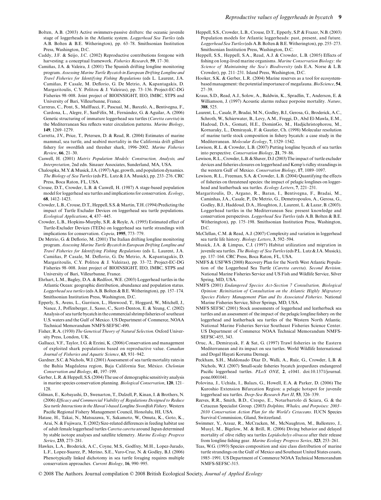- Bolten, A.B. (2003) Active swimmers-passive drifters: the oceanic juvenile stage of loggerheads in the Atlantic system. *Loggerhead Sea Turtles* (eds A.B. Bolten & B.E. Witherington), pp. 63–78. Smithsonian Institution Press, Washington, D.C.
- Caddy, J.F. & Seijo, J.C. (2002) Reproductive contributions foregone with harvesting: a conceptual framework. *Fisheries Research*, **59**, 17–30.
- Camiñas, J.A. & Valeira, J. (2001) The Spanish drifting longline monitoring program. *Assessing Marine Turtle Bycatch in European Drifting Longline and Trawl Fisheries for Identifying Fishing Regulations* (eds L. Laurent, J.A. Camiñas, P. Casale, M. Deflorio, G. De Metrio, A. Kapantagakis, D. Margaritoulis, C.Y. Politou & J. Valeiras), pp. 73–136. Project-EC-DG Fisheries 98–008. Joint project of BIOINSIGHT, IEO, IMBC, STPS and University of Bari, Villeurbanne, France.
- Carreras, C., Pont, S., Malffucci, F., Pascual, M., Barceló, A., Bentivegna, F., Cardona, L., Alegre, F., SanFélix, M., Fernández, G. & Aguilar, A. (2006) Genetic structuring of immature loggerhead sea turtles (*Caretta caretta*) in the Mediterranean Sea reflects water circulation patterns. *Marine Biology*, **149**, 1269–1279.
- Carretta, J.V., Price, T., Petersen, D. & Read, R. (2004) Estimates of marine mammal, sea turtle, and seabird mortality in the California drift gillnet fishery for swordfish and thresher shark, 1996–2002. *Marine Fisheries Review*, **66**, 21–30.
- Caswell, H. (2001) *Matrix Population Models: Construction, Analysis, and Interpretation*, 2nd edn. Sinauer Associates, Sunderland, MA, USA.
- Chaloupka, M.Y. & Musick, J.A. (1997) Age, growth, and population dynamics. *The Biology of Sea Turtles* (eds P.L. Lutz & J.A. Musick), pp. 233–276. CRC Press, Boca Raton, FL, USA.
- Crouse, D.T., Crowder, L.B. & Caswell, H. (1987) A stage-based population model for loggerhead sea turtles and implications for conservation. *Ecology*, **68**, 1412–1423.
- Crowder, L.B., Crouse, D.T., Heppell, S.S. & Martin, T.H. (1994) Predicting the impact of Turtle Excluder Devices on loggerhead sea turtle populations. *Ecological Applications*, **4**, 437– 445.
- Crowder, L.B., Hopkins-Murphy, S.R. & Royle, A. (1995) Estimated effect of Turtle-Excluder Devices (TEDs) on loggerhead sea turtle strandings with implications for conservation. *Copeia*, **1995**, 773–779.
- De Metrio, G. & Deflorio, M. (2001) The Italian drifting longline monitoring program. *Assessing Marine Turtle Bycatch in European Drifting Longline and Trawl Fisheries for Identifying Fishing Regulations* (eds L. Laurent, J.A. Camiñas, P. Casale, M. Deflorio, G. De Metrio, A. Kapantagakis, D. Margaritoulis, C.Y. Politou & J. Valeiras), pp. 33–72. Project-EC-DG Fisheries 98–008. Joint project of BIOINSIGHT, IEO, IMBC, STPS and University of Bari, Villeurbanne, France.
- Ehrhart, L.M., Bagley, D.A. & Redfoot, W.E. (2003) Loggerhead turtles in the Atlantic Ocean: geographic distribution, abundance and population status. *Loggerhead sea turtles* (eds A.B. Bolten & B.E. Witherington), pp. 157–174. Smithsonian Institution Press, Washington, D.C.
- Epperly, S., Avens, L., Garrison, L., Henwood, T., Hoggard, W., Mitchell, J., Nance, J., Poffenberger, J., Sasso, C., Scott-Denton, E. & Yeung, C. (2002) Analysis of sea turtle bycatch in the commercial shrimp fisheries of southeast U.S. waters and the Gulf of Mexico. US Department of Commerce, NOAA Technical Memorandum NMFS-SEFSC-490.
- Fisher, R.A. (1930) *The Genetical Theory of Natural Selection*. Oxford University Press, London, UK.
- Gallucci, V.F., Taylor, I.G. & Erzini, K. (2006) Conservation and management of exploited shark populations based on reproductive value. *Canadian Journal of Fisheries and Aquatic Science*, **63**, 931–942.
- Gardner, S.C. & Nichols, W.J. (2001) Assessment of sea turtle mortality rates in the Bahía Magdalena region, Baja California Sur, México. *Chelonian Conservation and Biology*, **41**, 197–199.
- Gerber, L.R. & Heppell, S.S. (2004) The use of demographic sensitivity analysis in marine species conservation planning. *Biological Conservation*, **120**, 121– 128.
- Gilman, E., Kobayashi, D., Swenarton, T., Dalzell, P., Kinan, I. & Brothers, N. (2006) *Efficacy and Commercial Viability of Regulations Designed to Reduce Sea turtle Interactions in the Hawai'i-based Longline Swordfish Fishery*. Western Pacific Regional Fishery Management Council, Honolulu, HI, USA.
- Hatase, H., Takai, N., Matsuzawa, Y., Sakamoto, W., Omuta, K., Goto, K., Arai, N. & Fujiwara, T. (2002) Size-related differences in feeding habitat use of adult female loggerhead turtles *Caretta caretta* around Japan determined by stable isotope analyses and satellite telemetry. *Marine Ecology Progress Series*, **233**, 273–281.
- Hawkes, L.A., Broderick, A.C., Coyne, M.S., Godfrey, M.H., Lopez-Jurado, L.F., Lopez-Suarez, P., Merino, S.E., Varo-Cruz, N. & Godley, B.J. (2006) Phenotypically linked dichotomy in sea turtle foraging requires multiple conservation approaches. *Current Biology*, **16**, 990–995.
- Heppell, S.S., Crowder, L.B., Crouse, D.T., Epperly, S.P. & Frazer, N.B. (2003) Population models for Atlantic loggerheads: past, present, and future. *Loggerhead Sea Turtles* (eds A.B. Bolten & B.E. Witherington), pp. 255–273. Smithsonian Institution Press, Washington, D.C.
- Heppell, S.S., Heppell, S.A., Read, A.J. & Crowder, L.B. (2005) Effects of fishing on long-lived marine organisms. *Marine Conservation Biology: the Science of Maintaining the Sea's Biodiversity* (eds E.A. Norse & L.B. Crowder), pp. 211–231. Island Press, Washington, D.C.
- Hooker, S.K. & Gerber, L.R. (2004) Marine reserves as a tool for ecosystembased management: the potential importance of megafauna. *BioScience*, **54**, 27–39.
- Kraus, S.D., Read, A.J., Solow, A., Baldwin, K., Spradlin, T., Anderson, E. & Williamson, J. (1997) Acoustic alarms reduce porpoise mortality. *Nature*, **388**, 525.
- Laurent, L., Casale, P., Bradai, M.N., Godley, B.J., Gerosa, G., Broderick, A.C., Schroth, W., Schierwater, B., Levy, A.M., Freggi, D., Abd El-Mawla, E.M., Hadoud, D.A., Gomati, H.E., DominGo, M., Hadjichristophorou, M., Kornaraky, L., Demirayak, F. & Gautier, Ch. (1998) Molecular resolution of marine turtle stock composition in fishery bycatch: a case study in the Mediterranean. *Molecular Ecology*, **7**, 1529–1542.
- Lewison, R.L. & Crowder, L.B. (2007) Putting longline bycatch of sea turtles into perspective. *Conservation Biology*, **21**, 79–86.
- Lewison, R.L., Crowder, L.B. & Shaver, D.J. (2003) The impact of turtle excluder devices and fisheries closures on loggerhead and Kemp's ridley strandings in the western Gulf of Mexico. *Conservation Biology*, **17**, 1089–1097.
- Lewison, R.L., Freeman, S.A. & Crowder, L.B. (2004) Quantifying the effects of fisheries on threatened species: the impact of pelagic longlines on loggerhead and leatherback sea turtles. *Ecology Letters*, **7**, 221–231.
- Margaritoulis, D., Argano, R., Baran, I., Bentivegna, F., Bradai, M., Caminhas, J.A., Casale, P., De Metrio, G., Demetropoulos, A., Gerosa, G., Godley, B.J., Haddoud, D.A., Houghton, J., Laurent, L. & Lazar, B. (2003). Loggerhead turtles in the Mediterranean Sea: present knowledge and conservation perspectives. *Loggerhead Sea Turtles* (eds A.B. Bolten & B.E. Witherington), pp. 175–198. Smithsonian Institution Press, Washington, D.C.
- McClellan, C.M. & Read, A.J. (2007) Complexity and variation in loggerhead sea turtle life history. *Biology Letters*, **3**, 592–594.
- Musick, J.A. & Limpus, C.J. (1997) Habitat utilization and migration in juvenile sea turtles. *The Biology of Sea Turtles* (eds P.L. Lutz & J.A. Musick), pp. 137–164. CRC Press, Boca Raton, FL, USA.
- NMFS & USFWS (2008) Recovery Plan for the North West Atlantic Population of the Loggerhead Sea Turtle (*Caretta caretta*). *Second Revision*. National Marine Fisheries Service and US Fish and Wildlife Service, Silver Spring, MD, USA.
- NMFS (2001) *Endangered Species Act-Section 7 Consultation, Biological Opinion: Reinitiation of Consultation on the Atlantic Highly Migratory Species Fishery Management Plan and Its Associated Fisheries*. National Marine Fisheries Service, Silver Springs, MD, USA.
- NMFS SEFSC (2001) Stock assessments of loggerhead and leatherback sea turtles and an assessment of the impact of the pelagic longline fishery on the loggerhead and leatherback sea turtles of the Western North Atlantic. National Marine Fisheries Service Southeast Fisheries Science Center. US Department of Commerce NOAA Technical Memorandum NMFS-SEFSC-455, 343.
- Oruc, A., Demirayak, F. & Sat, G. (1997) Trawl fisheries in the Eastern Mediterranean and its impact on sea turtles. World Wildlife International and Dogal Hayati Koruma Dernegi.
- Peckham, S.H., Maldonado Díaz D., Walli, A., Ruíz, G., Crowder, L.B. & Nichols, W.J. (2007) Small-scale fisheries bycatch jeopardizes endangered Pacific loggerhead turtles. *PLoS ONE*, **2**, e1041. doi:10.1371/journal. pone.0001041.
- Polovina, J., Uchida, I., Balazs, G., Howell, E.A. & Parker, D. (2006) The Kuroshio Extension Bifurcation Region: a pelagic hotspot for juvenile loggerhead sea turtles. *Deep-Sea Research Part II*, **53**, 326–339.
- Reeves, R.R., Smith, B.D., Crespo, E., Notarbartolo di Sciara, G. & the Cetacean Specialist Group. (2003) *Dolphins, Whales, and Porpoises: 2003– 2010 Conservation Action Plan for the World's Cetaceans*. IUCN Species Survival Commission, Gland, Switzerland.
- Swimmer, Y., Arauz, R., McCracken, M., McNaughton, M., Ballestero, J., Musyl, M., Bigelow, M. & Brill, R. (2006) Diving behavior and delayed mortality of olive ridley sea turtles *Lepidochelys olivacea* after their release from longline fishing gear. *Marine Ecology Progress Series*, **323**, 253–261.
- Teas, W.G. (1993) Species composition and size class distribution of marine turtle strandings on the Gulf of Mexico and Southeast United States coasts, 1985–1991. US Department of Commerce NOAA Technical Memorandum NMFS-SEFSC-315.
- © 2008 The Authors. Journal compilation © 2008 British Ecological Society, *Journal of Applied Ecology*